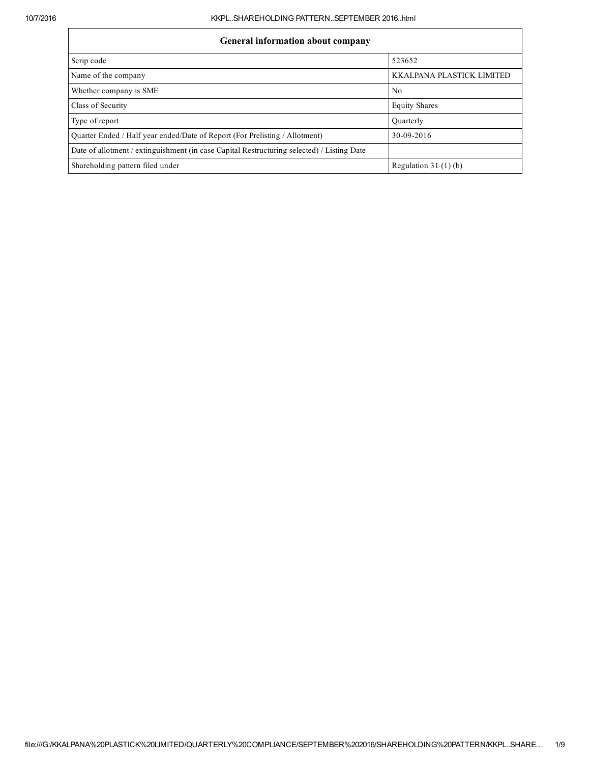## General information about company

| General information about company                                                          |                           |  |  |  |  |  |  |
|--------------------------------------------------------------------------------------------|---------------------------|--|--|--|--|--|--|
| Scrip code                                                                                 | 523652                    |  |  |  |  |  |  |
| Name of the company                                                                        | KKALPANA PLASTICK LIMITED |  |  |  |  |  |  |
| Whether company is SME                                                                     | No                        |  |  |  |  |  |  |
| Class of Security                                                                          | <b>Equity Shares</b>      |  |  |  |  |  |  |
| Type of report                                                                             | Ouarterly                 |  |  |  |  |  |  |
| Quarter Ended / Half year ended/Date of Report (For Prelisting / Allotment)                | 30-09-2016                |  |  |  |  |  |  |
| Date of allotment / extinguishment (in case Capital Restructuring selected) / Listing Date |                           |  |  |  |  |  |  |
| Shareholding pattern filed under                                                           | Regulation $31(1)(b)$     |  |  |  |  |  |  |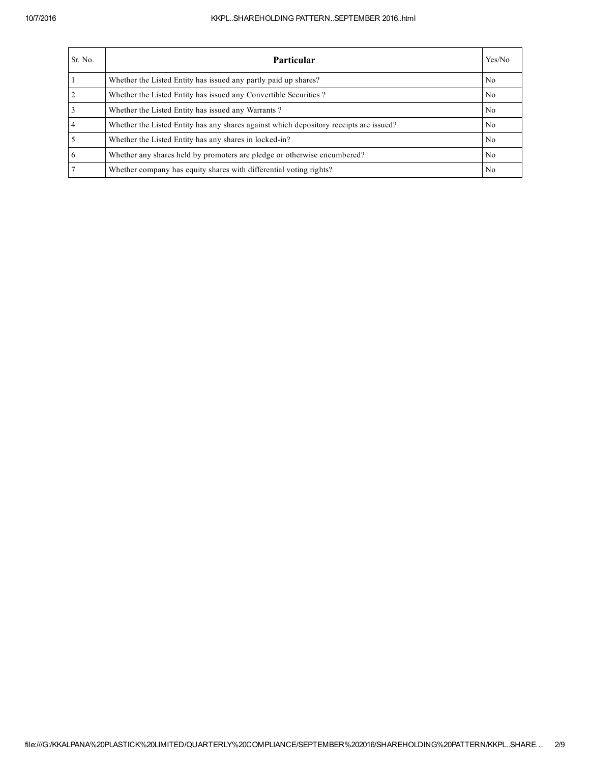## 10/7/2016 KKPL..SHAREHOLDING PATTERN..SEPTEMBER 2016..html

| Sr. No. | Particular                                                                             | Yes/No         |
|---------|----------------------------------------------------------------------------------------|----------------|
|         | Whether the Listed Entity has issued any partly paid up shares?                        | N <sub>0</sub> |
|         | Whether the Listed Entity has issued any Convertible Securities?                       | N <sub>0</sub> |
|         | Whether the Listed Entity has issued any Warrants?                                     | N <sub>0</sub> |
|         | Whether the Listed Entity has any shares against which depository receipts are issued? | N <sub>0</sub> |
|         | Whether the Listed Entity has any shares in locked-in?                                 | N <sub>0</sub> |
|         | Whether any shares held by promoters are pledge or otherwise encumbered?               | N <sub>0</sub> |
|         | Whether company has equity shares with differential voting rights?                     | N <sub>0</sub> |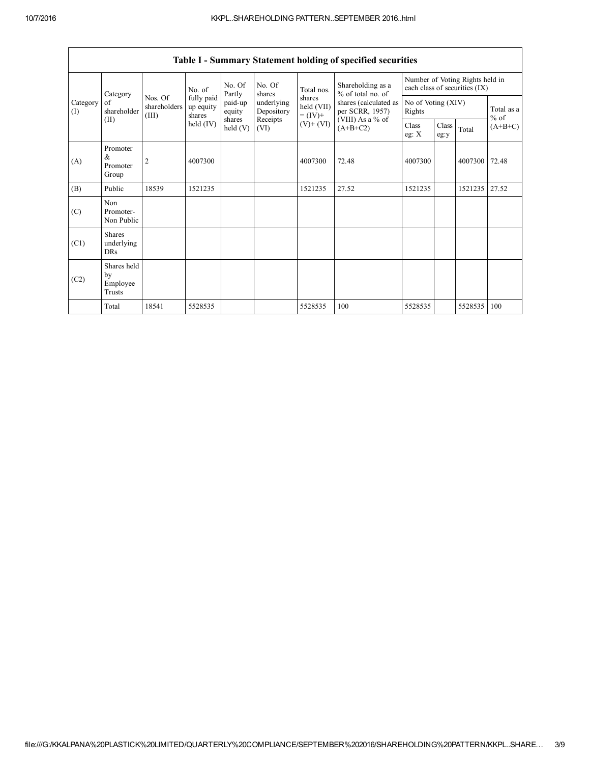|                 | Category                                |                                  | No. of                            | No. Of<br>Partly           | No. Of<br>shares         | Total nos.                         | Shareholding as a<br>% of total no. of<br>shares (calculated as<br>per SCRR, 1957)<br>(VIII) As a $%$ of<br>$(A+B+C2)$ | Number of Voting Rights held in<br>each class of securities (IX) |               |         |                     |
|-----------------|-----------------------------------------|----------------------------------|-----------------------------------|----------------------------|--------------------------|------------------------------------|------------------------------------------------------------------------------------------------------------------------|------------------------------------------------------------------|---------------|---------|---------------------|
| Category<br>(I) | of<br>shareholder                       | Nos. Of<br>shareholders<br>(III) | fully paid<br>up equity<br>shares | paid-up<br>equity          | underlying<br>Depository | shares<br>held (VII)<br>$= (IV) +$ |                                                                                                                        | No of Voting (XIV)<br>Rights                                     |               |         | Total as a          |
| (II)            |                                         |                                  | held $(IV)$                       | shares<br>$\text{held}(V)$ | Receipts<br>(VI)         | $(V)$ + $(VI)$                     |                                                                                                                        | Class<br>eg: $X$                                                 | Class<br>eg:y | Total   | $%$ of<br>$(A+B+C)$ |
| (A)             | Promoter<br>$\&$<br>Promoter<br>Group   | 2                                | 4007300                           |                            |                          | 4007300                            | 72.48                                                                                                                  | 4007300                                                          |               | 4007300 | 72.48               |
| (B)             | Public                                  | 18539                            | 1521235                           |                            |                          | 1521235                            | 27.52                                                                                                                  | 1521235                                                          |               | 1521235 | 27.52               |
| (C)             | Non<br>Promoter-<br>Non Public          |                                  |                                   |                            |                          |                                    |                                                                                                                        |                                                                  |               |         |                     |
| (C1)            | <b>Shares</b><br>underlying<br>DRs      |                                  |                                   |                            |                          |                                    |                                                                                                                        |                                                                  |               |         |                     |
| (C2)            | Shares held<br>by<br>Employee<br>Trusts |                                  |                                   |                            |                          |                                    |                                                                                                                        |                                                                  |               |         |                     |
|                 | Total                                   | 18541                            | 5528535                           |                            |                          | 5528535                            | 100                                                                                                                    | 5528535                                                          |               | 5528535 | 100                 |

Table I - Summary Statement holding of specified securities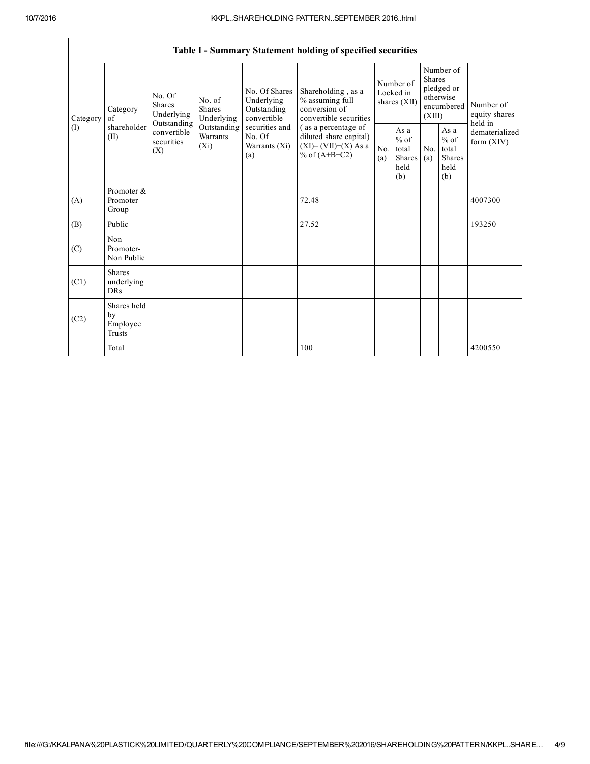|          | Table I - Summary Statement holding of specified securities |                                                 |                                       |                                                           |                                                                                             |                                        |                                                         |                                                                               |                                                  |                                       |  |
|----------|-------------------------------------------------------------|-------------------------------------------------|---------------------------------------|-----------------------------------------------------------|---------------------------------------------------------------------------------------------|----------------------------------------|---------------------------------------------------------|-------------------------------------------------------------------------------|--------------------------------------------------|---------------------------------------|--|
| Category | Category<br>of                                              | No. Of<br><b>Shares</b><br>Underlying           | No. of<br><b>Shares</b><br>Underlying | No. Of Shares<br>Underlying<br>Outstanding<br>convertible | Shareholding, as a<br>% assuming full<br>conversion of<br>convertible securities            | Number of<br>Locked in<br>shares (XII) |                                                         | Number of<br><b>Shares</b><br>pledged or<br>otherwise<br>encumbered<br>(XIII) |                                                  | Number of<br>equity shares<br>held in |  |
| (I)      | shareholder<br>(II)                                         | Outstanding<br>convertible<br>securities<br>(X) | Outstanding<br>Warrants<br>$(X_i)$    | securities and<br>No. Of<br>Warrants (Xi)<br>(a)          | (as a percentage of<br>diluted share capital)<br>$(XI) = (VII)+(X) As a$<br>% of $(A+B+C2)$ | No.<br>(a)                             | As a<br>$%$ of<br>total<br><b>Shares</b><br>held<br>(b) | No.<br>(a)                                                                    | As a<br>$%$ of<br>total<br>Shares<br>held<br>(b) | dematerialized<br>form $(XIV)$        |  |
| (A)      | Promoter &<br>Promoter<br>Group                             |                                                 |                                       |                                                           | 72.48                                                                                       |                                        |                                                         |                                                                               |                                                  | 4007300                               |  |
| (B)      | Public                                                      |                                                 |                                       |                                                           | 27.52                                                                                       |                                        |                                                         |                                                                               |                                                  | 193250                                |  |
| (C)      | Non<br>Promoter-<br>Non Public                              |                                                 |                                       |                                                           |                                                                                             |                                        |                                                         |                                                                               |                                                  |                                       |  |
| (C1)     | <b>Shares</b><br>underlying<br><b>DRs</b>                   |                                                 |                                       |                                                           |                                                                                             |                                        |                                                         |                                                                               |                                                  |                                       |  |
| (C2)     | Shares held<br>by<br>Employee<br>Trusts                     |                                                 |                                       |                                                           |                                                                                             |                                        |                                                         |                                                                               |                                                  |                                       |  |
|          | Total                                                       |                                                 |                                       |                                                           | 100                                                                                         |                                        |                                                         |                                                                               |                                                  | 4200550                               |  |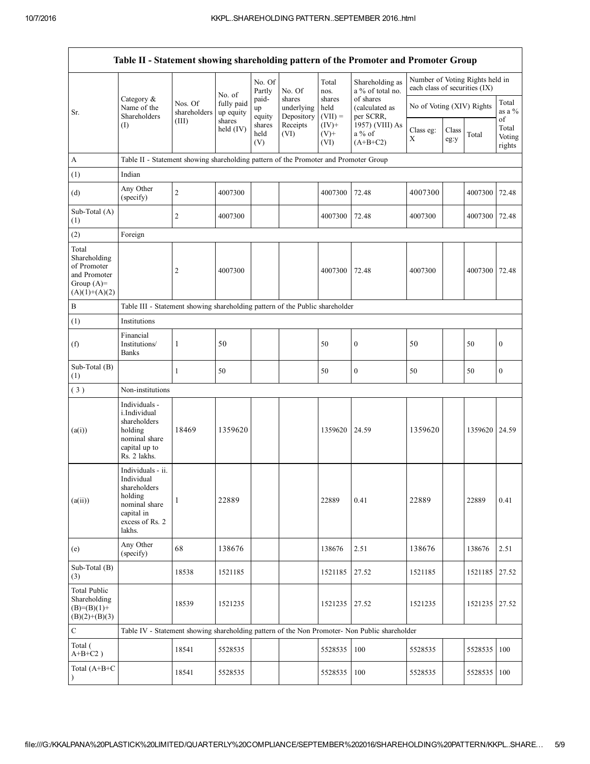| Table II - Statement showing shareholding pattern of the Promoter and Promoter Group    |                                                                                                                        |                         |                                   |                       |                                              |                                              |                                                                                               |                                                                  |               |         |                                 |
|-----------------------------------------------------------------------------------------|------------------------------------------------------------------------------------------------------------------------|-------------------------|-----------------------------------|-----------------------|----------------------------------------------|----------------------------------------------|-----------------------------------------------------------------------------------------------|------------------------------------------------------------------|---------------|---------|---------------------------------|
|                                                                                         | Category &<br>Name of the<br>Shareholders                                                                              |                         | No. of<br>fully paid<br>up equity | No. Of<br>Partly      | No. Of<br>shares<br>underlying<br>Depository | Total<br>nos.<br>shares<br>held<br>$(VII) =$ | Shareholding as<br>a % of total no.<br>of shares<br>(calculated as<br>per SCRR.               | Number of Voting Rights held in<br>each class of securities (IX) |               |         |                                 |
| Sr.                                                                                     |                                                                                                                        | Nos. Of<br>shareholders |                                   | paid-<br>up<br>equity |                                              |                                              |                                                                                               | No of Voting (XIV) Rights                                        |               |         | Total<br>as a %                 |
|                                                                                         | (I)                                                                                                                    | (III)                   | shares<br>held (IV)               | shares<br>held<br>(V) | Receipts<br>(VI)                             | $(IV)$ +<br>$(V)$ +<br>(VI)                  | 1957) (VIII) As<br>$a\%$ of<br>$(A+B+C2)$                                                     | Class eg:<br>X                                                   | Class<br>eg:y | Total   | of<br>Total<br>Voting<br>rights |
| A                                                                                       | Table II - Statement showing shareholding pattern of the Promoter and Promoter Group                                   |                         |                                   |                       |                                              |                                              |                                                                                               |                                                                  |               |         |                                 |
| (1)                                                                                     | Indian                                                                                                                 |                         |                                   |                       |                                              |                                              |                                                                                               |                                                                  |               |         |                                 |
| (d)                                                                                     | Any Other<br>(specify)                                                                                                 | $\sqrt{2}$              | 4007300                           |                       |                                              | 4007300                                      | 72.48                                                                                         | 4007300                                                          |               | 4007300 | 72.48                           |
| Sub-Total (A)<br>(1)                                                                    |                                                                                                                        | $\sqrt{2}$              | 4007300                           |                       |                                              | 4007300                                      | 72.48                                                                                         | 4007300                                                          |               | 4007300 | 72.48                           |
| (2)                                                                                     | Foreign                                                                                                                |                         |                                   |                       |                                              |                                              |                                                                                               |                                                                  |               |         |                                 |
| Total<br>Shareholding<br>of Promoter<br>and Promoter<br>Group $(A)=$<br>$(A)(1)+(A)(2)$ |                                                                                                                        | $\overline{c}$          | 4007300                           |                       |                                              | 4007300                                      | 72.48                                                                                         | 4007300                                                          |               | 4007300 | 72.48                           |
| $\, {\bf B}$                                                                            | Table III - Statement showing shareholding pattern of the Public shareholder                                           |                         |                                   |                       |                                              |                                              |                                                                                               |                                                                  |               |         |                                 |
| (1)                                                                                     | Institutions                                                                                                           |                         |                                   |                       |                                              |                                              |                                                                                               |                                                                  |               |         |                                 |
| (f)                                                                                     | Financial<br>Institutions/<br><b>Banks</b>                                                                             | $\mathbf{1}$            | 50                                |                       |                                              | 50                                           | $\boldsymbol{0}$                                                                              | 50                                                               |               | 50      | $\boldsymbol{0}$                |
| Sub-Total (B)<br>(1)                                                                    |                                                                                                                        | $\mathbf{1}$            | 50                                |                       |                                              | 50                                           | $\boldsymbol{0}$                                                                              | 50                                                               |               | 50      | $\boldsymbol{0}$                |
| (3)                                                                                     | Non-institutions                                                                                                       |                         |                                   |                       |                                              |                                              |                                                                                               |                                                                  |               |         |                                 |
| (a(i))                                                                                  | Individuals -<br>i.Individual<br>shareholders<br>holding<br>nominal share<br>capital up to<br>Rs. 2 lakhs.             | 18469                   | 1359620                           |                       |                                              | 1359620                                      | 24.59                                                                                         | 1359620                                                          |               | 1359620 | 24.59                           |
| (a(ii))                                                                                 | Individuals - ii.<br>Individual<br>shareholders<br>holding<br>nominal share<br>capital in<br>excess of Rs. 2<br>lakhs. | 1                       | 22889                             |                       |                                              | 22889                                        | 0.41                                                                                          | 22889                                                            |               | 22889   | 0.41                            |
| (e)                                                                                     | Any Other<br>(specify)                                                                                                 | 68                      | 138676                            |                       |                                              | 138676                                       | 2.51                                                                                          | 138676                                                           |               | 138676  | 2.51                            |
| Sub-Total (B)<br>(3)                                                                    |                                                                                                                        | 18538                   | 1521185                           |                       |                                              | 1521185                                      | 27.52                                                                                         | 1521185                                                          |               | 1521185 | 27.52                           |
| <b>Total Public</b><br>Shareholding<br>$(B)=(B)(1)+$<br>$(B)(2)+(B)(3)$                 |                                                                                                                        | 18539                   | 1521235                           |                       |                                              | 1521235                                      | 27.52                                                                                         | 1521235                                                          |               | 1521235 | 27.52                           |
| ${\bf C}$                                                                               |                                                                                                                        |                         |                                   |                       |                                              |                                              | Table IV - Statement showing shareholding pattern of the Non Promoter- Non Public shareholder |                                                                  |               |         |                                 |
| Total (<br>$A+B+C2$ )                                                                   |                                                                                                                        | 18541                   | 5528535                           |                       |                                              | 5528535                                      | 100                                                                                           | 5528535                                                          |               | 5528535 | 100                             |
| Total $(A+B+C)$                                                                         |                                                                                                                        | 18541                   | 5528535                           |                       |                                              | 5528535                                      | 100                                                                                           | 5528535                                                          |               | 5528535 | 100                             |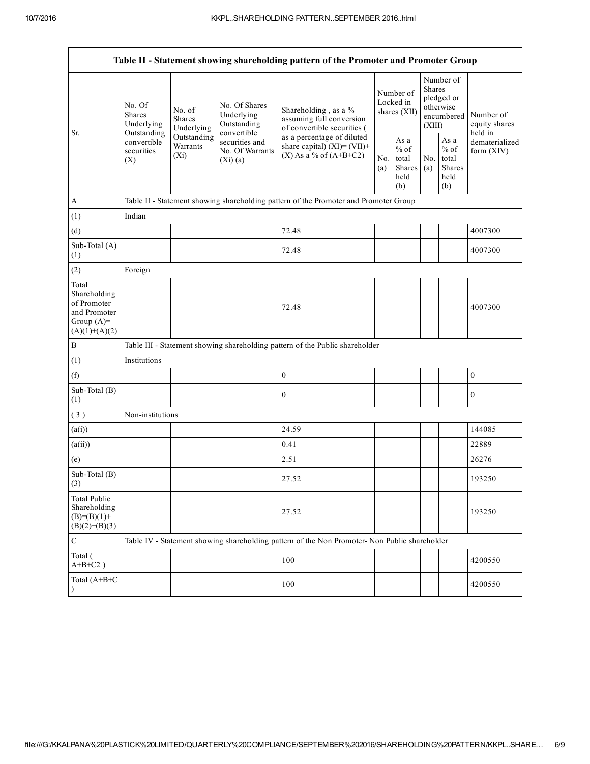| Table II - Statement showing shareholding pattern of the Promoter and Promoter Group    |                                                 |                                       |                                                                                                           |                                                                                                                                                                             |                                          |                                                  |                                                                               |                                                         |                                         |
|-----------------------------------------------------------------------------------------|-------------------------------------------------|---------------------------------------|-----------------------------------------------------------------------------------------------------------|-----------------------------------------------------------------------------------------------------------------------------------------------------------------------------|------------------------------------------|--------------------------------------------------|-------------------------------------------------------------------------------|---------------------------------------------------------|-----------------------------------------|
| Sr.                                                                                     | No. Of<br><b>Shares</b><br>Underlying           | No. of<br><b>Shares</b><br>Underlying | No. Of Shares<br>Underlying<br>Outstanding<br>convertible<br>securities and<br>No. Of Warrants<br>(Xi)(a) | Shareholding, as a %<br>assuming full conversion<br>of convertible securities (<br>as a percentage of diluted<br>share capital) $(XI)=(VII)+$<br>$(X)$ As a % of $(A+B+C2)$ | Number of<br>Locked in<br>shares $(XII)$ |                                                  | Number of<br><b>Shares</b><br>pledged or<br>otherwise<br>encumbered<br>(XIII) |                                                         | Number of<br>equity shares              |
|                                                                                         | Outstanding<br>convertible<br>securities<br>(X) | Outstanding<br>Warrants<br>$(X_i)$    |                                                                                                           |                                                                                                                                                                             | No.<br>(a)                               | As a<br>$%$ of<br>total<br>Shares<br>held<br>(b) | No.<br>(a)                                                                    | As a<br>$%$ of<br>total<br><b>Shares</b><br>held<br>(b) | held in<br>dematerialized<br>form (XIV) |
| $\boldsymbol{\mathsf{A}}$                                                               |                                                 |                                       |                                                                                                           | Table II - Statement showing shareholding pattern of the Promoter and Promoter Group                                                                                        |                                          |                                                  |                                                                               |                                                         |                                         |
| (1)                                                                                     | Indian                                          |                                       |                                                                                                           |                                                                                                                                                                             |                                          |                                                  |                                                                               |                                                         |                                         |
| (d)                                                                                     |                                                 |                                       |                                                                                                           | 72.48                                                                                                                                                                       |                                          |                                                  |                                                                               |                                                         | 4007300                                 |
| Sub-Total (A)<br>(1)                                                                    |                                                 |                                       |                                                                                                           | 72.48                                                                                                                                                                       |                                          |                                                  |                                                                               |                                                         | 4007300                                 |
| (2)                                                                                     | Foreign                                         |                                       |                                                                                                           |                                                                                                                                                                             |                                          |                                                  |                                                                               |                                                         |                                         |
| Total<br>Shareholding<br>of Promoter<br>and Promoter<br>Group $(A)=$<br>$(A)(1)+(A)(2)$ |                                                 |                                       |                                                                                                           | 72.48                                                                                                                                                                       |                                          |                                                  |                                                                               |                                                         | 4007300                                 |
| $\, {\bf B}$                                                                            |                                                 |                                       |                                                                                                           | Table III - Statement showing shareholding pattern of the Public shareholder                                                                                                |                                          |                                                  |                                                                               |                                                         |                                         |
| (1)                                                                                     | Institutions                                    |                                       |                                                                                                           |                                                                                                                                                                             |                                          |                                                  |                                                                               |                                                         |                                         |
| (f)                                                                                     |                                                 |                                       |                                                                                                           | $\boldsymbol{0}$                                                                                                                                                            |                                          |                                                  |                                                                               |                                                         | $\boldsymbol{0}$                        |
| Sub-Total (B)<br>(1)                                                                    |                                                 |                                       |                                                                                                           | $\mathbf{0}$                                                                                                                                                                |                                          |                                                  |                                                                               |                                                         | $\mathbf{0}$                            |
| (3)                                                                                     | Non-institutions                                |                                       |                                                                                                           |                                                                                                                                                                             |                                          |                                                  |                                                                               |                                                         |                                         |
| (a(i))                                                                                  |                                                 |                                       |                                                                                                           | 24.59                                                                                                                                                                       |                                          |                                                  |                                                                               |                                                         | 144085                                  |
| (a(ii))                                                                                 |                                                 |                                       |                                                                                                           | 0.41                                                                                                                                                                        |                                          |                                                  |                                                                               |                                                         | 22889                                   |
| (e)                                                                                     |                                                 |                                       |                                                                                                           | 2.51                                                                                                                                                                        |                                          |                                                  |                                                                               |                                                         | 26276                                   |
| Sub-Total (B)<br>(3)                                                                    |                                                 |                                       |                                                                                                           | 27.52                                                                                                                                                                       |                                          |                                                  |                                                                               |                                                         | 193250                                  |
| <b>Total Public</b><br>Shareholding<br>$(B)=(B)(1)+$<br>$(B)(2)+(B)(3)$                 |                                                 |                                       |                                                                                                           | 27.52                                                                                                                                                                       |                                          |                                                  |                                                                               |                                                         | 193250                                  |
| $\mathsf C$                                                                             |                                                 |                                       |                                                                                                           | Table IV - Statement showing shareholding pattern of the Non Promoter- Non Public shareholder                                                                               |                                          |                                                  |                                                                               |                                                         |                                         |
| Total (<br>$A+B+C2$ )                                                                   |                                                 |                                       |                                                                                                           | 100                                                                                                                                                                         |                                          |                                                  |                                                                               |                                                         | 4200550                                 |
| Total (A+B+C<br>$\mathcal{E}$                                                           |                                                 |                                       |                                                                                                           | 100                                                                                                                                                                         |                                          |                                                  |                                                                               |                                                         | 4200550                                 |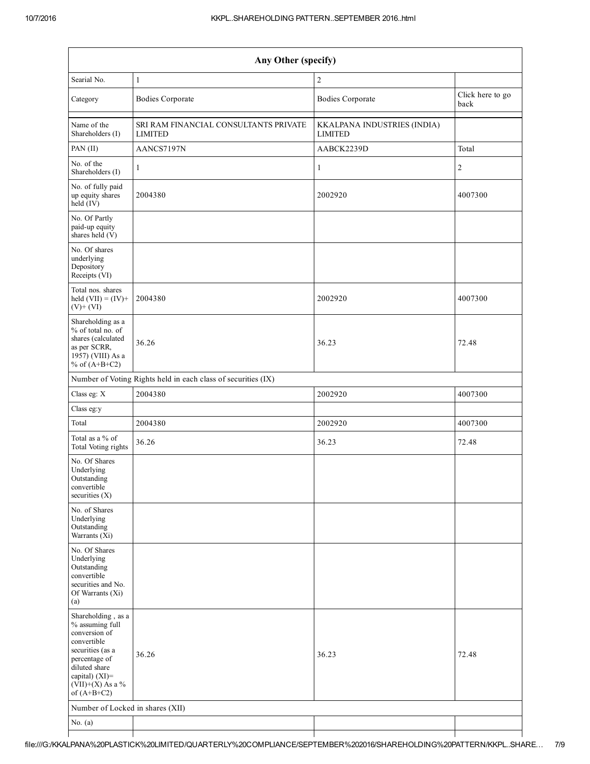| Any Other (specify)                                                                                                                                                                |                                                               |                                               |                          |  |  |  |  |  |
|------------------------------------------------------------------------------------------------------------------------------------------------------------------------------------|---------------------------------------------------------------|-----------------------------------------------|--------------------------|--|--|--|--|--|
| Searial No.                                                                                                                                                                        | $\mathbf{1}$                                                  | $\sqrt{2}$                                    |                          |  |  |  |  |  |
| Category                                                                                                                                                                           | <b>Bodies Corporate</b>                                       | <b>Bodies Corporate</b>                       | Click here to go<br>back |  |  |  |  |  |
| Name of the<br>Shareholders (I)                                                                                                                                                    | SRI RAM FINANCIAL CONSULTANTS PRIVATE<br><b>LIMITED</b>       | KKALPANA INDUSTRIES (INDIA)<br><b>LIMITED</b> |                          |  |  |  |  |  |
| PAN $(II)$                                                                                                                                                                         | AANCS7197N                                                    | AABCK2239D                                    | Total                    |  |  |  |  |  |
| No. of the<br>Shareholders (I)                                                                                                                                                     | $\mathbf{1}$                                                  | $\mathbf{1}$                                  | $\overline{c}$           |  |  |  |  |  |
| No. of fully paid<br>up equity shares<br>held (IV)                                                                                                                                 | 2004380                                                       | 2002920                                       | 4007300                  |  |  |  |  |  |
| No. Of Partly<br>paid-up equity<br>shares held $(V)$                                                                                                                               |                                                               |                                               |                          |  |  |  |  |  |
| No. Of shares<br>underlying<br>Depository<br>Receipts (VI)                                                                                                                         |                                                               |                                               |                          |  |  |  |  |  |
| Total nos. shares<br>held $(VII) = (IV) +$<br>$(V)+(VI)$                                                                                                                           | 2004380                                                       | 2002920                                       | 4007300                  |  |  |  |  |  |
| Shareholding as a<br>% of total no. of<br>shares (calculated<br>as per SCRR,<br>$19\overline{57}$ ) (VIII) As a<br>% of $(A+B+C2)$                                                 | 36.26                                                         | 36.23                                         | 72.48                    |  |  |  |  |  |
|                                                                                                                                                                                    | Number of Voting Rights held in each class of securities (IX) |                                               |                          |  |  |  |  |  |
| Class eg: X                                                                                                                                                                        | 2004380                                                       | 2002920                                       | 4007300                  |  |  |  |  |  |
| Class eg:y                                                                                                                                                                         |                                                               |                                               |                          |  |  |  |  |  |
| Total                                                                                                                                                                              | 2004380                                                       | 2002920                                       | 4007300                  |  |  |  |  |  |
| Total as a % of<br>Total Voting rights                                                                                                                                             | 36.26                                                         | 36.23                                         | 72.48                    |  |  |  |  |  |
| No. Of Shares<br>Underlying<br>Outstanding<br>convertible<br>securities $(X)$                                                                                                      |                                                               |                                               |                          |  |  |  |  |  |
| No. of Shares<br>Underlying<br>Outstanding<br>Warrants (Xi)                                                                                                                        |                                                               |                                               |                          |  |  |  |  |  |
| No. Of Shares<br>Underlying<br>Outstanding<br>convertible<br>securities and No.<br>Of Warrants (Xi)<br>(a)                                                                         |                                                               |                                               |                          |  |  |  |  |  |
| Shareholding, as a<br>% assuming full<br>conversion of<br>convertible<br>securities (as a<br>percentage of<br>diluted share<br>capital) (XI)=<br>(VII)+(X) As a %<br>of $(A+B+C2)$ | 36.26                                                         | 36.23                                         | 72.48                    |  |  |  |  |  |
| Number of Locked in shares (XII)                                                                                                                                                   |                                                               |                                               |                          |  |  |  |  |  |
| No. $(a)$                                                                                                                                                                          |                                                               |                                               |                          |  |  |  |  |  |
|                                                                                                                                                                                    |                                                               |                                               |                          |  |  |  |  |  |